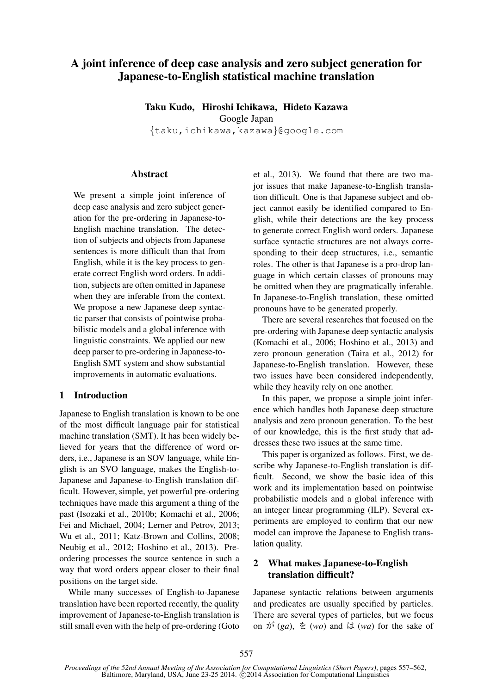# A joint inference of deep case analysis and zero subject generation for Japanese-to-English statistical machine translation

Taku Kudo, Hiroshi Ichikawa, Hideto Kazawa Google Japan {taku,ichikawa,kazawa}@google.com

#### **Abstract**

We present a simple joint inference of deep case analysis and zero subject generation for the pre-ordering in Japanese-to-English machine translation. The detection of subjects and objects from Japanese sentences is more difficult than that from English, while it is the key process to generate correct English word orders. In addition, subjects are often omitted in Japanese when they are inferable from the context. We propose a new Japanese deep syntactic parser that consists of pointwise probabilistic models and a global inference with linguistic constraints. We applied our new deep parser to pre-ordering in Japanese-to-English SMT system and show substantial improvements in automatic evaluations.

# 1 Introduction

Japanese to English translation is known to be one of the most difficult language pair for statistical machine translation (SMT). It has been widely believed for years that the difference of word orders, i.e., Japanese is an SOV language, while English is an SVO language, makes the English-to-Japanese and Japanese-to-English translation difficult. However, simple, yet powerful pre-ordering techniques have made this argument a thing of the past (Isozaki et al., 2010b; Komachi et al., 2006; Fei and Michael, 2004; Lerner and Petrov, 2013; Wu et al., 2011; Katz-Brown and Collins, 2008; Neubig et al., 2012; Hoshino et al., 2013). Preordering processes the source sentence in such a way that word orders appear closer to their final positions on the target side.

While many successes of English-to-Japanese translation have been reported recently, the quality improvement of Japanese-to-English translation is still small even with the help of pre-ordering (Goto

et al., 2013). We found that there are two major issues that make Japanese-to-English translation difficult. One is that Japanese subject and object cannot easily be identified compared to English, while their detections are the key process to generate correct English word orders. Japanese surface syntactic structures are not always corresponding to their deep structures, i.e., semantic roles. The other is that Japanese is a pro-drop language in which certain classes of pronouns may be omitted when they are pragmatically inferable. In Japanese-to-English translation, these omitted pronouns have to be generated properly.

There are several researches that focused on the pre-ordering with Japanese deep syntactic analysis (Komachi et al., 2006; Hoshino et al., 2013) and zero pronoun generation (Taira et al., 2012) for Japanese-to-English translation. However, these two issues have been considered independently, while they heavily rely on one another.

In this paper, we propose a simple joint inference which handles both Japanese deep structure analysis and zero pronoun generation. To the best of our knowledge, this is the first study that addresses these two issues at the same time.

This paper is organized as follows. First, we describe why Japanese-to-English translation is difficult. Second, we show the basic idea of this work and its implementation based on pointwise probabilistic models and a global inference with an integer linear programming (ILP). Several experiments are employed to confirm that our new model can improve the Japanese to English translation quality.

# 2 What makes Japanese-to-English translation difficult?

Japanese syntactic relations between arguments and predicates are usually specified by particles. There are several types of particles, but we focus on  $\phi^*(ga)$ ,  $\phi^*(wo)$  and  $\phi^*(wa)$  for the sake of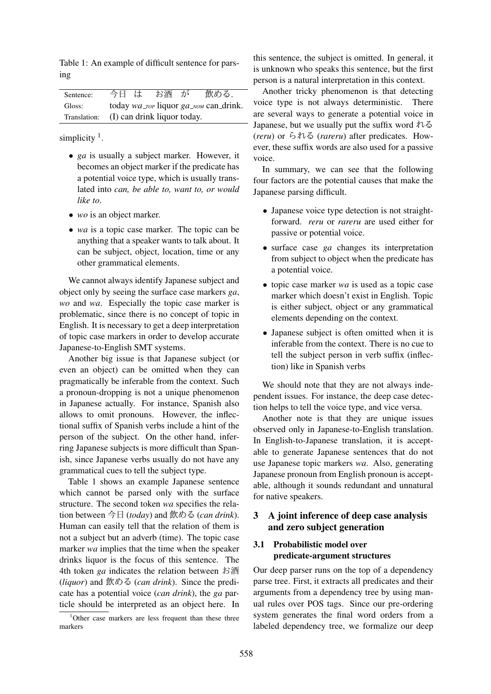Table 1: An example of difficult sentence for parsing

| Sentence: | 今日 は                                     | お酒 ̄が | 飲める.                                                         |
|-----------|------------------------------------------|-------|--------------------------------------------------------------|
| Gloss:    |                                          |       | today $wa_{\text{I}OP}$ liquor $ga_{\text{I}NOM}$ can drink. |
|           | Translation: (I) can drink liquor today. |       |                                                              |

simplicity  $<sup>1</sup>$ .</sup>

- *ga* is usually a subject marker. However, it becomes an object marker if the predicate has a potential voice type, which is usually translated into *can, be able to, want to, or would like to*.
- *wo* is an object marker.
- *wa* is a topic case marker. The topic can be anything that a speaker wants to talk about. It can be subject, object, location, time or any other grammatical elements.

We cannot always identify Japanese subject and object only by seeing the surface case markers *ga*, *wo* and *wa*. Especially the topic case marker is problematic, since there is no concept of topic in English. It is necessary to get a deep interpretation of topic case markers in order to develop accurate Japanese-to-English SMT systems.

Another big issue is that Japanese subject (or even an object) can be omitted when they can pragmatically be inferable from the context. Such a pronoun-dropping is not a unique phenomenon in Japanese actually. For instance, Spanish also allows to omit pronouns. However, the inflectional suffix of Spanish verbs include a hint of the person of the subject. On the other hand, inferring Japanese subjects is more difficult than Spanish, since Japanese verbs usually do not have any grammatical cues to tell the subject type.

Table 1 shows an example Japanese sentence which cannot be parsed only with the surface structure. The second token *wa* specifies the relation between 今日 (*today*) and 飲める (*can drink*). Human can easily tell that the relation of them is not a subject but an adverb (time). The topic case marker *wa* implies that the time when the speaker drinks liquor is the focus of this sentence. The 4th token *ga* indicates the relation between お酒 (*liquor*) and 飲める (*can drink*). Since the predicate has a potential voice (*can drink*), the *ga* particle should be interpreted as an object here. In

<sup>1</sup>Other case markers are less frequent than these three markers

this sentence, the subject is omitted. In general, it is unknown who speaks this sentence, but the first person is a natural interpretation in this context.

Another tricky phenomenon is that detecting voice type is not always deterministic. There are several ways to generate a potential voice in Japanese, but we usually put the suffix word  $\hbar \delta$ (*reru*) or られる (*rareru*) after predicates. However, these suffix words are also used for a passive voice.

In summary, we can see that the following four factors are the potential causes that make the Japanese parsing difficult.

- Japanese voice type detection is not straightforward. *reru* or *rareru* are used either for passive or potential voice.
- surface case *ga* changes its interpretation from subject to object when the predicate has a potential voice.
- topic case marker *wa* is used as a topic case marker which doesn't exist in English. Topic is either subject, object or any grammatical elements depending on the context.
- Japanese subject is often omitted when it is inferable from the context. There is no cue to tell the subject person in verb suffix (inflection) like in Spanish verbs

We should note that they are not always independent issues. For instance, the deep case detection helps to tell the voice type, and vice versa.

Another note is that they are unique issues observed only in Japanese-to-English translation. In English-to-Japanese translation, it is acceptable to generate Japanese sentences that do not use Japanese topic markers *wa*. Also, generating Japanese pronoun from English pronoun is acceptable, although it sounds redundant and unnatural for native speakers.

# 3 A joint inference of deep case analysis and zero subject generation

# 3.1 Probabilistic model over predicate-argument structures

Our deep parser runs on the top of a dependency parse tree. First, it extracts all predicates and their arguments from a dependency tree by using manual rules over POS tags. Since our pre-ordering system generates the final word orders from a labeled dependency tree, we formalize our deep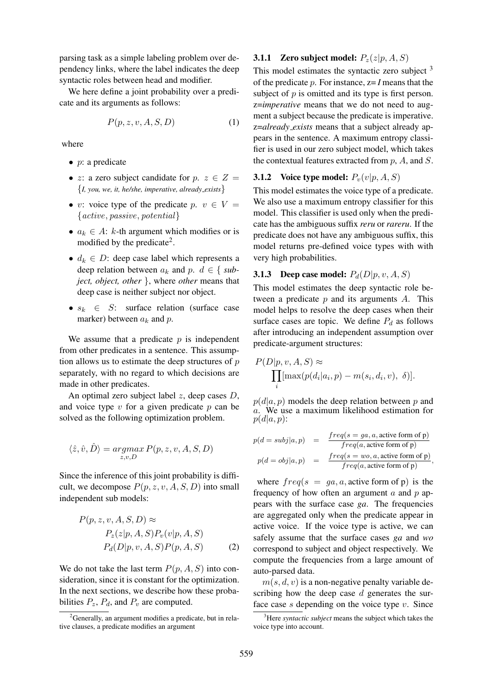parsing task as a simple labeling problem over dependency links, where the label indicates the deep syntactic roles between head and modifier.

We here define a joint probability over a predicate and its arguments as follows:

$$
P(p, z, v, A, S, D) \tag{1}
$$

where

- $\bullet$  *p*: a predicate
- z: a zero subject candidate for  $p, z \in Z =$ {*I, you, we, it, he/she, imperative, already exists*}
- v: voice type of the predicate  $p, v \in V =$  ${active, passive, potential}$
- $a_k \in A$ : k-th argument which modifies or is modified by the predicate<sup>2</sup>.
- $d_k \in D$ : deep case label which represents a deep relation between  $a_k$  and  $p$ .  $d \in \{sub$ *ject, object, other* }, where *other* means that deep case is neither subject nor object.
- $s_k \in S$ : surface relation (surface case marker) between  $a_k$  and  $p$ .

We assume that a predicate  $p$  is independent from other predicates in a sentence. This assumption allows us to estimate the deep structures of  $p$ separately, with no regard to which decisions are made in other predicates.

An optimal zero subject label  $z$ , deep cases  $D$ , and voice type  $v$  for a given predicate  $p$  can be solved as the following optimization problem.

$$
\langle \hat{z}, \hat{v}, \hat{D} \rangle = \operatornamewithlimits{argmax}_{z,v,D} P(p,z,v,A,S,D)
$$

Since the inference of this joint probability is difficult, we decompose  $P(p, z, v, A, S, D)$  into small independent sub models:

$$
P(p, z, v, A, S, D) \approx
$$
  
\n
$$
P_z(z|p, A, S)P_v(v|p, A, S)
$$
  
\n
$$
P_d(D|p, v, A, S)P(p, A, S)
$$
 (2)

We do not take the last term  $P(p, A, S)$  into consideration, since it is constant for the optimization. In the next sections, we describe how these probabilities  $P_z$ ,  $P_d$ , and  $P_v$  are computed.

# **3.1.1** Zero subject model:  $P_z(z|p, A, S)$

This model estimates the syntactic zero subject  $3$ of the predicate p. For instance, z= *I* means that the subject of  $p$  is omitted and its type is first person. z=*imperative* means that we do not need to augment a subject because the predicate is imperative. z=*already exists* means that a subject already appears in the sentence. A maximum entropy classifier is used in our zero subject model, which takes the contextual features extracted from  $p$ ,  $A$ , and  $S$ .

# **3.1.2** Voice type model:  $P_v(v|p, A, S)$

This model estimates the voice type of a predicate. We also use a maximum entropy classifier for this model. This classifier is used only when the predicate has the ambiguous suffix *reru* or *rareru*. If the predicate does not have any ambiguous suffix, this model returns pre-defined voice types with with very high probabilities.

#### **3.1.3** Deep case model:  $P_d(D|p, v, A, S)$

This model estimates the deep syntactic role between a predicate  $p$  and its arguments  $A$ . This model helps to resolve the deep cases when their surface cases are topic. We define  $P_d$  as follows after introducing an independent assumption over predicate-argument structures:

$$
P(D|p, v, A, S) \approx \prod_{i} [\max(p(d_i|a_i, p) - m(s_i, d_i, v), \delta)].
$$

 $p(d|a, p)$  models the deep relation between p and  $\alpha$ . We use a maximum likelihood estimation for  $p(d|a, p)$ :

$$
p(d = subj|a, p) = \frac{freq(s = ga, a, active form of p)}{freq(a, active form of p)}
$$
  

$$
p(d = obj|a, p) = \frac{freq(s = wo, a, active form of p)}{freq(a, active form of p)},
$$

where  $freq(s = ga, a, active form of p)$  is the frequency of how often an argument  $\alpha$  and  $p$  appears with the surface case *ga*. The frequencies are aggregated only when the predicate appear in active voice. If the voice type is active, we can safely assume that the surface cases *ga* and *wo* correspond to subject and object respectively. We compute the frequencies from a large amount of auto-parsed data.

 $m(s, d, v)$  is a non-negative penalty variable describing how the deep case  $d$  generates the surface case  $s$  depending on the voice type  $v$ . Since

 $2^2$ Generally, an argument modifies a predicate, but in relative clauses, a predicate modifies an argument

<sup>3</sup>Here *syntactic subject* means the subject which takes the voice type into account.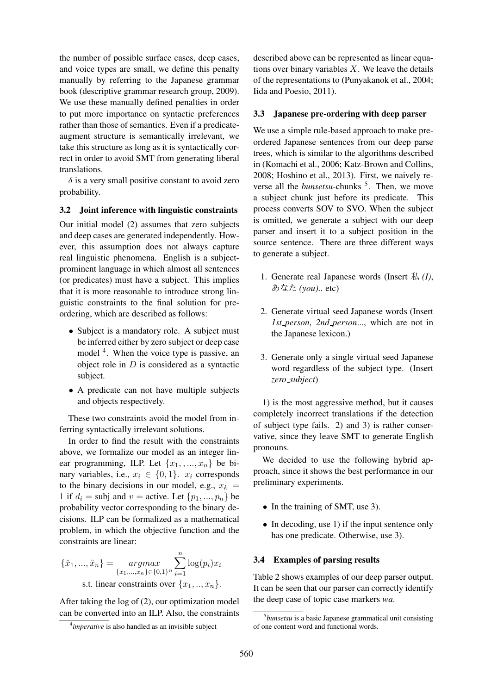the number of possible surface cases, deep cases, and voice types are small, we define this penalty manually by referring to the Japanese grammar book (descriptive grammar research group, 2009). We use these manually defined penalties in order to put more importance on syntactic preferences rather than those of semantics. Even if a predicateaugment structure is semantically irrelevant, we take this structure as long as it is syntactically correct in order to avoid SMT from generating liberal translations.

 $\delta$  is a very small positive constant to avoid zero probability.

#### 3.2 Joint inference with linguistic constraints

Our initial model (2) assumes that zero subjects and deep cases are generated independently. However, this assumption does not always capture real linguistic phenomena. English is a subjectprominent language in which almost all sentences (or predicates) must have a subject. This implies that it is more reasonable to introduce strong linguistic constraints to the final solution for preordering, which are described as follows:

- Subject is a mandatory role. A subject must be inferred either by zero subject or deep case model <sup>4</sup>. When the voice type is passive, an object role in  $D$  is considered as a syntactic subject.
- A predicate can not have multiple subjects and objects respectively.

These two constraints avoid the model from inferring syntactically irrelevant solutions.

In order to find the result with the constraints above, we formalize our model as an integer linear programming, ILP. Let  $\{x_1, \ldots, x_n\}$  be binary variables, i.e.,  $x_i \in \{0, 1\}$ .  $x_i$  corresponds to the binary decisions in our model, e.g.,  $x_k =$ 1 if  $d_i$  = subj and  $v$  = active. Let  $\{p_1, ..., p_n\}$  be probability vector corresponding to the binary decisions. ILP can be formalized as a mathematical problem, in which the objective function and the constraints are linear:

$$
\{\hat{x}_1, ..., \hat{x}_n\} = \underset{\{x_1, ..., x_n\} \in \{0, 1\}^n}{\operatorname{argmax}} \sum_{i=1}^n \log(p_i) x_i
$$
  
s.t. linear constraints over  $\{x_1, ..., x_n\}$ .

After taking the log of (2), our optimization model can be converted into an ILP. Also, the constraints

described above can be represented as linear equations over binary variables  $X$ . We leave the details of the representations to (Punyakanok et al., 2004; Iida and Poesio, 2011).

#### 3.3 Japanese pre-ordering with deep parser

We use a simple rule-based approach to make preordered Japanese sentences from our deep parse trees, which is similar to the algorithms described in (Komachi et al., 2006; Katz-Brown and Collins, 2008; Hoshino et al., 2013). First, we naively reverse all the *bunsetsu*-chunks <sup>5</sup>. Then, we move a subject chunk just before its predicate. This process converts SOV to SVO. When the subject is omitted, we generate a subject with our deep parser and insert it to a subject position in the source sentence. There are three different ways to generate a subject.

- 1. Generate real Japanese words (Insert 私 *(I)*, あなた *(you)*.. etc)
- 2. Generate virtual seed Japanese words (Insert *1st person*, *2nd person*..., which are not in the Japanese lexicon.)
- 3. Generate only a single virtual seed Japanese word regardless of the subject type. (Insert *zero subject*)

1) is the most aggressive method, but it causes completely incorrect translations if the detection of subject type fails. 2) and 3) is rather conservative, since they leave SMT to generate English pronouns.

We decided to use the following hybrid approach, since it shows the best performance in our preliminary experiments.

- In the training of SMT, use 3).
- In decoding, use 1) if the input sentence only has one predicate. Otherwise, use 3).

#### 3.4 Examples of parsing results

Table 2 shows examples of our deep parser output. It can be seen that our parser can correctly identify the deep case of topic case markers *wa*.

<sup>4</sup> *imperative* is also handled as an invisible subject

<sup>5</sup> *bunsetsu* is a basic Japanese grammatical unit consisting of one content word and functional words.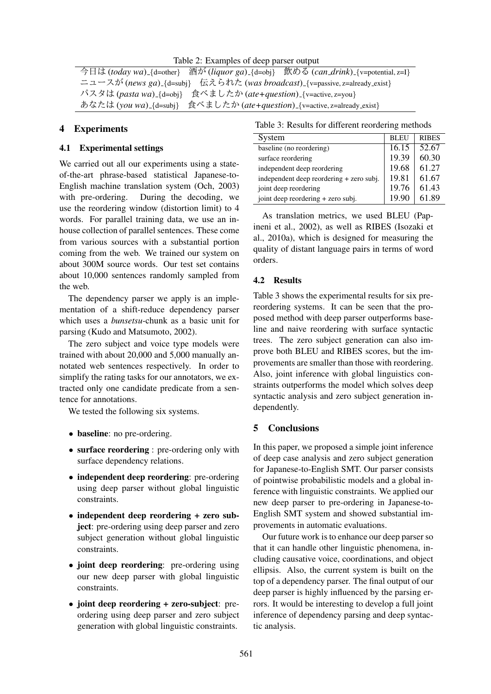Table 2: Examples of deep parser output

今日は (*today wa*) [d=other} 酒が (*liquor ga*) [d=obj} 飲める (*can\_drink*) [v=potential, z=I} ニュースが (*news ga*) [d=subj} 伝えられた (*was broadcast*) [v=passive, z=already\_exist} パスタは (*pasta wa*) {d=obj} 食べましたか (*ate+question*) {v=active, z=you} あなたは (*you wa*) {d=subj} 食べましたか (*ate+question*) {v=active, z=already exist}

## 4 Experiments

#### 4.1 Experimental settings

We carried out all our experiments using a stateof-the-art phrase-based statistical Japanese-to-English machine translation system (Och, 2003) with pre-ordering. During the decoding, we use the reordering window (distortion limit) to 4 words. For parallel training data, we use an inhouse collection of parallel sentences. These come from various sources with a substantial portion coming from the web. We trained our system on about 300M source words. Our test set contains about 10,000 sentences randomly sampled from the web.

The dependency parser we apply is an implementation of a shift-reduce dependency parser which uses a *bunsetsu*-chunk as a basic unit for parsing (Kudo and Matsumoto, 2002).

The zero subject and voice type models were trained with about 20,000 and 5,000 manually annotated web sentences respectively. In order to simplify the rating tasks for our annotators, we extracted only one candidate predicate from a sentence for annotations.

We tested the following six systems.

- baseline: no pre-ordering.
- surface reordering : pre-ordering only with surface dependency relations.
- independent deep reordering: pre-ordering using deep parser without global linguistic constraints.
- independent deep reordering + zero subject: pre-ordering using deep parser and zero subject generation without global linguistic constraints.
- joint deep reordering: pre-ordering using our new deep parser with global linguistic constraints.
- joint deep reordering + zero-subject: preordering using deep parser and zero subject generation with global linguistic constraints.

Table 3: Results for different reordering methods

| System                                   | <b>BLEU</b> | <b>RIBES</b> |
|------------------------------------------|-------------|--------------|
| baseline (no reordering)                 | 16.15       | 52.67        |
| surface reordering                       | 19.39       | 60.30        |
| independent deep reordering              | 19.68       | 61.27        |
| independent deep reordering + zero subj. | 19.81       | 61.67        |
| joint deep reordering                    | 19.76       | 61.43        |
| joint deep reordering + zero subj.       | 19.90       | 61.89        |
|                                          |             |              |

As translation metrics, we used BLEU (Papineni et al., 2002), as well as RIBES (Isozaki et al., 2010a), which is designed for measuring the quality of distant language pairs in terms of word orders.

#### 4.2 Results

Table 3 shows the experimental results for six prereordering systems. It can be seen that the proposed method with deep parser outperforms baseline and naive reordering with surface syntactic trees. The zero subject generation can also improve both BLEU and RIBES scores, but the improvements are smaller than those with reordering. Also, joint inference with global linguistics constraints outperforms the model which solves deep syntactic analysis and zero subject generation independently.

# 5 Conclusions

In this paper, we proposed a simple joint inference of deep case analysis and zero subject generation for Japanese-to-English SMT. Our parser consists of pointwise probabilistic models and a global inference with linguistic constraints. We applied our new deep parser to pre-ordering in Japanese-to-English SMT system and showed substantial improvements in automatic evaluations.

Our future work is to enhance our deep parser so that it can handle other linguistic phenomena, including causative voice, coordinations, and object ellipsis. Also, the current system is built on the top of a dependency parser. The final output of our deep parser is highly influenced by the parsing errors. It would be interesting to develop a full joint inference of dependency parsing and deep syntactic analysis.